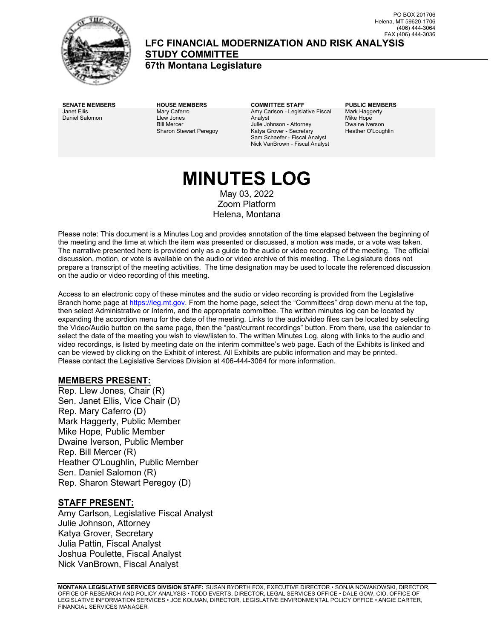

#### **LFC FINANCIAL MODERNIZATION AND RISK ANALYSIS STUDY COMMITTEE**

**67th Montana Legislature**

Janet Ellis Daniel Salomon Mary Caferro Llew Jones Bill Mercer Sharon Stewart Peregoy

**SENATE MEMBERS HOUSE MEMBERS COMMITTEE STAFF PUBLIC MEMBERS** Amy Carlson - Legislative Fiscal Analyst Julie Johnson - Attorney Katya Grover - Secretary Sam Schaefer - Fiscal Analyst Nick VanBrown - Fiscal Analyst

Mark Haggerty Mike Hope Dwaine Iverson Heather O'Loughlin

# **MINUTES LOG**

May 03, 2022 Zoom Platform Helena, Montana

Please note: This document is a Minutes Log and provides annotation of the time elapsed between the beginning of the meeting and the time at which the item was presented or discussed, a motion was made, or a vote was taken. The narrative presented here is provided only as a guide to the audio or video recording of the meeting. The official discussion, motion, or vote is available on the audio or video archive of this meeting. The Legislature does not prepare a transcript of the meeting activities. The time designation may be used to locate the referenced discussion on the audio or video recording of this meeting.

Access to an electronic copy of these minutes and the audio or video recording is provided from the Legislative Branch home page a[t https://leg.mt.gov.](http://legmt.gov/) From the home page, select the "Committees" drop down menu at the top, then select Administrative or Interim, and the appropriate committee. The written minutes log can be located by expanding the accordion menu for the date of the meeting. Links to the audio/video files can be located by selecting the Video/Audio button on the same page, then the "past/current recordings" button. From there, use the calendar to select the date of the meeting you wish to view/listen to. The written Minutes Log, along with links to the audio and video recordings, is listed by meeting date on the interim committee's web page. Each of the Exhibits is linked and can be viewed by clicking on the Exhibit of interest. All Exhibits are public information and may be printed. Please contact the Legislative Services Division at 406-444-3064 for more information.

#### **MEMBERS PRESENT:**

Rep. Llew Jones, Chair (R) Sen. Janet Ellis, Vice Chair (D) Rep. Mary Caferro (D) Mark Haggerty, Public Member Mike Hope, Public Member Dwaine Iverson, Public Member Rep. Bill Mercer (R) Heather O'Loughlin, Public Member Sen. Daniel Salomon (R) Rep. Sharon Stewart Peregoy (D)

#### **STAFF PRESENT:**

Amy Carlson, Legislative Fiscal Analyst Julie Johnson, Attorney Katya Grover, Secretary Julia Pattin, Fiscal Analyst Joshua Poulette, Fiscal Analyst Nick VanBrown, Fiscal Analyst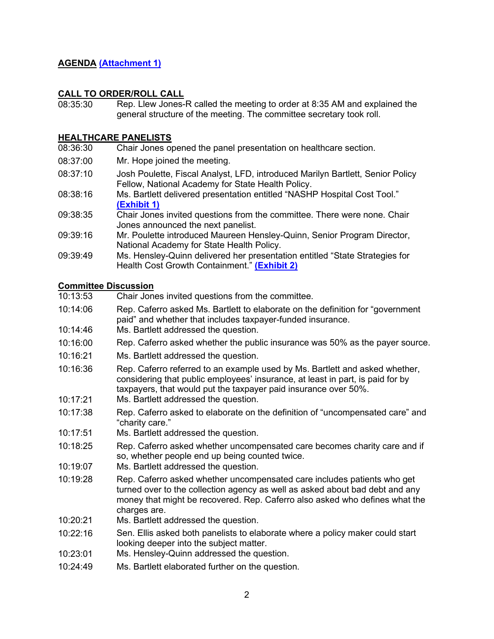#### **AGENDA [\(Attachment 1\)](http://legmt.gov/)**

## **CALL TO ORDER/ROLL CALL**<br>08:35:30 Rep Llew Jones-

Rep. Llew Jones-R called the meeting to order at 8:35 AM and explained the general structure of the meeting. The committee secretary took roll.

# **HEALTHCARE PANELISTS**<br>08:36:30 Chair Jones or

- Chair Jones opened the panel presentation on healthcare section.
- 08:37:00 Mr. Hope joined the meeting.
- 08:37:10 Josh Poulette, Fiscal Analyst, LFD, introduced Marilyn Bartlett, Senior Policy Fellow, National Academy for State Health Policy.
- 08:38:16 Ms. Bartlett delivered presentation entitled "NASHP Hospital Cost Tool." **[\(Exhibit 1\)](https://leg.mt.gov/content/publications/fiscal/2023-Interim/May-2022/MARA-Bartlett.pdf)**
- 09:38:35 Chair Jones invited questions from the committee. There were none. Chair Jones announced the next panelist.
- 09:39:16 Mr. Poulette introduced Maureen Hensley-Quinn, Senior Program Director, National Academy for State Health Policy.
- 09:39:49 Ms. Hensley-Quinn delivered her presentation entitled "State Strategies for Health Cost Growth Containment." **[\(Exhibit 2\)](https://leg.mt.gov/content/publications/fiscal/2023-Interim/May-2022/MARA-Hensley-Quinn.pdf)**

#### **Committee Discussion**

- 10:13:53 Chair Jones invited questions from the committee.
- 10:14:06 Rep. Caferro asked Ms. Bartlett to elaborate on the definition for "government paid" and whether that includes taxpayer-funded insurance.
- 10:14:46 Ms. Bartlett addressed the question.
- 10:16:00 Rep. Caferro asked whether the public insurance was 50% as the payer source.
- 10:16:21 Ms. Bartlett addressed the question.
- 10:16:36 Rep. Caferro referred to an example used by Ms. Bartlett and asked whether, considering that public employees' insurance, at least in part, is paid for by taxpayers, that would put the taxpayer paid insurance over 50%.
- 10:17:21 Ms. Bartlett addressed the question.
- 10:17:38 Rep. Caferro asked to elaborate on the definition of "uncompensated care" and "charity care."
- 10:17:51 Ms. Bartlett addressed the question.
- 10:18:25 Rep. Caferro asked whether uncompensated care becomes charity care and if so, whether people end up being counted twice.
- 10:19:07 Ms. Bartlett addressed the question.
- 10:19:28 Rep. Caferro asked whether uncompensated care includes patients who get turned over to the collection agency as well as asked about bad debt and any money that might be recovered. Rep. Caferro also asked who defines what the charges are.
- 10:20:21 Ms. Bartlett addressed the question.
- 10:22:16 Sen. Ellis asked both panelists to elaborate where a policy maker could start looking deeper into the subject matter.
- 10:23:01 Ms. Hensley-Quinn addressed the question.
- 10:24:49 Ms. Bartlett elaborated further on the question.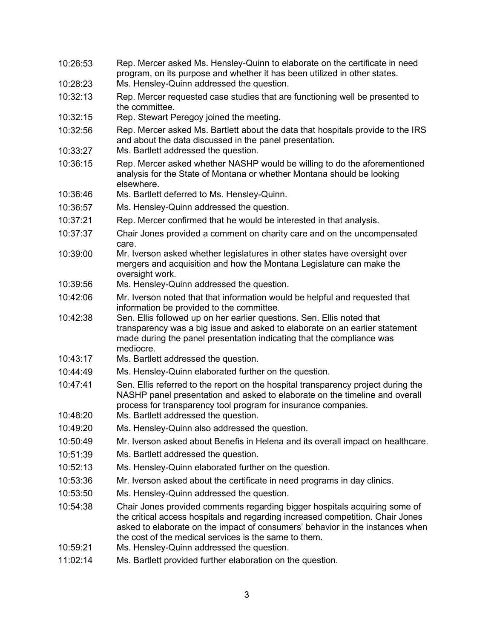| 10:26:53 | Rep. Mercer asked Ms. Hensley-Quinn to elaborate on the certificate in need<br>program, on its purpose and whether it has been utilized in other states.                                                                                                                                               |
|----------|--------------------------------------------------------------------------------------------------------------------------------------------------------------------------------------------------------------------------------------------------------------------------------------------------------|
| 10:28:23 | Ms. Hensley-Quinn addressed the question.                                                                                                                                                                                                                                                              |
| 10:32:13 | Rep. Mercer requested case studies that are functioning well be presented to<br>the committee.                                                                                                                                                                                                         |
| 10:32:15 | Rep. Stewart Peregoy joined the meeting.                                                                                                                                                                                                                                                               |
| 10:32:56 | Rep. Mercer asked Ms. Bartlett about the data that hospitals provide to the IRS<br>and about the data discussed in the panel presentation.                                                                                                                                                             |
| 10:33:27 | Ms. Bartlett addressed the question.                                                                                                                                                                                                                                                                   |
| 10:36:15 | Rep. Mercer asked whether NASHP would be willing to do the aforementioned<br>analysis for the State of Montana or whether Montana should be looking<br>elsewhere.                                                                                                                                      |
| 10:36:46 | Ms. Bartlett deferred to Ms. Hensley-Quinn.                                                                                                                                                                                                                                                            |
| 10:36:57 | Ms. Hensley-Quinn addressed the question.                                                                                                                                                                                                                                                              |
| 10:37:21 | Rep. Mercer confirmed that he would be interested in that analysis.                                                                                                                                                                                                                                    |
| 10:37:37 | Chair Jones provided a comment on charity care and on the uncompensated<br>care.                                                                                                                                                                                                                       |
| 10:39:00 | Mr. Iverson asked whether legislatures in other states have oversight over<br>mergers and acquisition and how the Montana Legislature can make the<br>oversight work.                                                                                                                                  |
| 10:39:56 | Ms. Hensley-Quinn addressed the question.                                                                                                                                                                                                                                                              |
| 10:42:06 | Mr. Iverson noted that that information would be helpful and requested that<br>information be provided to the committee.                                                                                                                                                                               |
| 10:42:38 | Sen. Ellis followed up on her earlier questions. Sen. Ellis noted that<br>transparency was a big issue and asked to elaborate on an earlier statement<br>made during the panel presentation indicating that the compliance was<br>mediocre.                                                            |
| 10:43:17 | Ms. Bartlett addressed the question.                                                                                                                                                                                                                                                                   |
| 10:44:49 | Ms. Hensley-Quinn elaborated further on the question.                                                                                                                                                                                                                                                  |
| 10:47:41 | Sen. Ellis referred to the report on the hospital transparency project during the<br>NASHP panel presentation and asked to elaborate on the timeline and overall<br>process for transparency tool program for insurance companies.                                                                     |
| 10:48:20 | Ms. Bartlett addressed the question.                                                                                                                                                                                                                                                                   |
| 10:49:20 | Ms. Hensley-Quinn also addressed the question.                                                                                                                                                                                                                                                         |
| 10:50:49 | Mr. Iverson asked about Benefis in Helena and its overall impact on healthcare.                                                                                                                                                                                                                        |
| 10:51:39 | Ms. Bartlett addressed the question.                                                                                                                                                                                                                                                                   |
| 10:52:13 | Ms. Hensley-Quinn elaborated further on the question.                                                                                                                                                                                                                                                  |
| 10:53:36 | Mr. Iverson asked about the certificate in need programs in day clinics.                                                                                                                                                                                                                               |
| 10:53:50 | Ms. Hensley-Quinn addressed the question.                                                                                                                                                                                                                                                              |
| 10:54:38 | Chair Jones provided comments regarding bigger hospitals acquiring some of<br>the critical access hospitals and regarding increased competition. Chair Jones<br>asked to elaborate on the impact of consumers' behavior in the instances when<br>the cost of the medical services is the same to them. |
| 10:59:21 | Ms. Hensley-Quinn addressed the question.                                                                                                                                                                                                                                                              |
| 11:02:14 | Ms. Bartlett provided further elaboration on the question.                                                                                                                                                                                                                                             |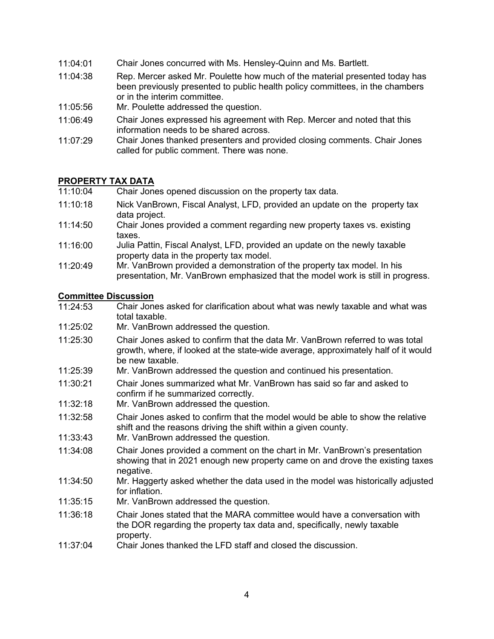- 11:04:01 Chair Jones concurred with Ms. Hensley-Quinn and Ms. Bartlett.
- 11:04:38 Rep. Mercer asked Mr. Poulette how much of the material presented today has been previously presented to public health policy committees, in the chambers or in the interim committee.
- 11:05:56 Mr. Poulette addressed the question.
- 11:06:49 Chair Jones expressed his agreement with Rep. Mercer and noted that this information needs to be shared across.
- 11:07:29 Chair Jones thanked presenters and provided closing comments. Chair Jones called for public comment. There was none.

# **PROPERTY TAX DATA**<br>11:10:04 Chair Jone

- Chair Jones opened discussion on the property tax data.
- 11:10:18 Nick VanBrown, Fiscal Analyst, LFD, provided an update on the property tax data project.
- 11:14:50 Chair Jones provided a comment regarding new property taxes vs. existing taxes.
- 11:16:00 Julia Pattin, Fiscal Analyst, LFD, provided an update on the newly taxable property data in the property tax model.
- 11:20:49 Mr. VanBrown provided a demonstration of the property tax model. In his presentation, Mr. VanBrown emphasized that the model work is still in progress.

#### **Committee Discussion**

- 11:24:53 Chair Jones asked for clarification about what was newly taxable and what was total taxable.
- 11:25:02 Mr. VanBrown addressed the question.
- 11:25:30 Chair Jones asked to confirm that the data Mr. VanBrown referred to was total growth, where, if looked at the state-wide average, approximately half of it would be new taxable.
- 11:25:39 Mr. VanBrown addressed the question and continued his presentation.
- 11:30:21 Chair Jones summarized what Mr. VanBrown has said so far and asked to confirm if he summarized correctly.
- 11:32:18 Mr. VanBrown addressed the question.
- 11:32:58 Chair Jones asked to confirm that the model would be able to show the relative shift and the reasons driving the shift within a given county.
- 11:33:43 Mr. VanBrown addressed the question.
- 11:34:08 Chair Jones provided a comment on the chart in Mr. VanBrown's presentation showing that in 2021 enough new property came on and drove the existing taxes negative.
- $11:34:50$ Mr. Haggerty asked whether the data used in the model was historically adjusted for inflation.
- 11:35:15 Mr. VanBrown addressed the question.
- 11:36:18 Chair Jones stated that the MARA committee would have a conversation with the DOR regarding the property tax data and, specifically, newly taxable property.
- 11:37:04 Chair Jones thanked the LFD staff and closed the discussion.